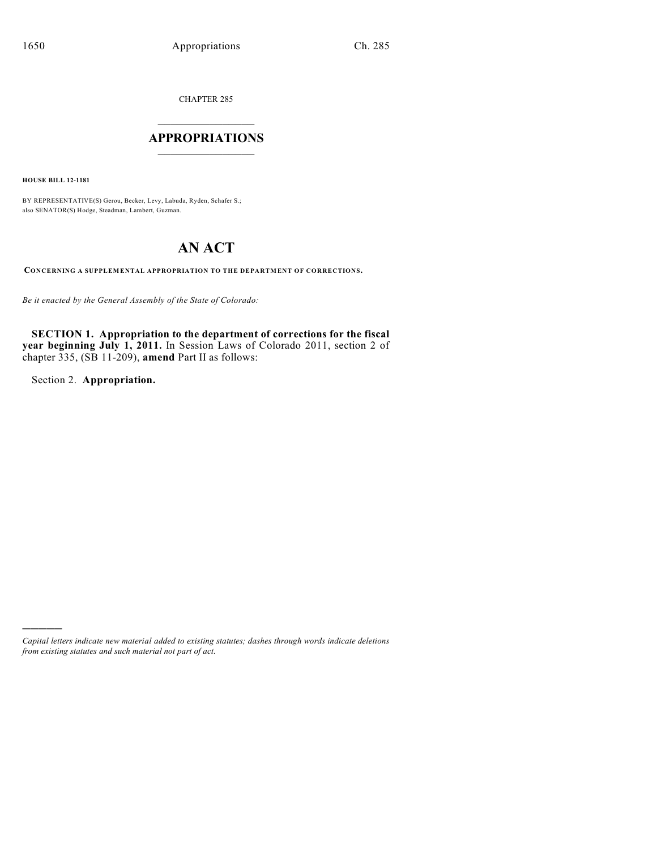CHAPTER 285

# $\overline{\phantom{a}}$  . The set of the set of the set of the set of the set of the set of the set of the set of the set of the set of the set of the set of the set of the set of the set of the set of the set of the set of the set o **APPROPRIATIONS**  $\_$   $\_$   $\_$   $\_$   $\_$   $\_$   $\_$   $\_$

**HOUSE BILL 12-1181**

BY REPRESENTATIVE(S) Gerou, Becker, Levy, Labuda, Ryden, Schafer S.; also SENATOR(S) Hodge, Steadman, Lambert, Guzman.

# **AN ACT**

**CONCERNING A SUPPLEMENTAL APPROPRIATION TO THE DEPARTMENT OF CORRECTIONS.**

*Be it enacted by the General Assembly of the State of Colorado:*

**SECTION 1. Appropriation to the department of corrections for the fiscal year beginning July 1, 2011.** In Session Laws of Colorado 2011, section 2 of chapter 335, (SB 11-209), **amend** Part II as follows:

Section 2. **Appropriation.**

)))))

*Capital letters indicate new material added to existing statutes; dashes through words indicate deletions from existing statutes and such material not part of act.*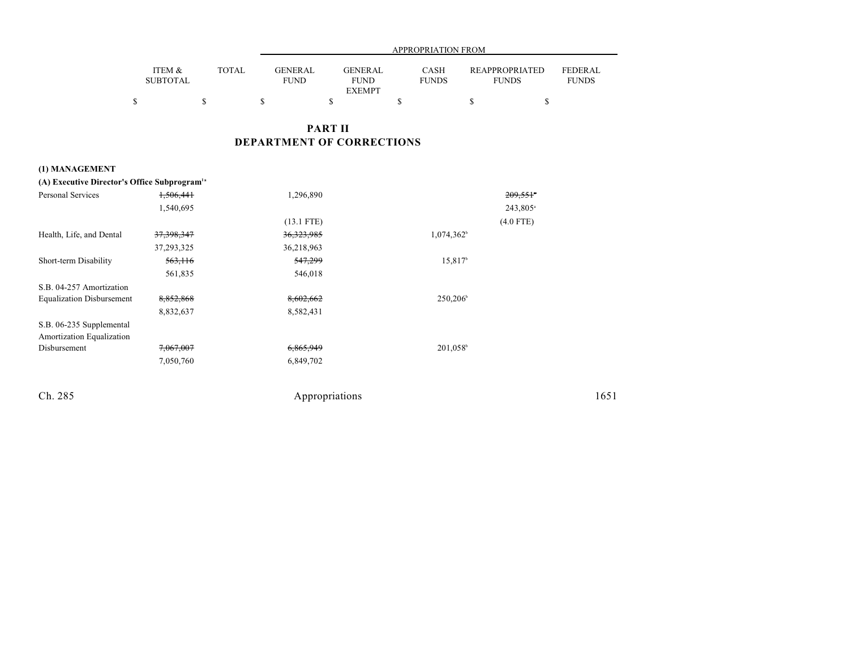|                           |              |                        | APPROPRIATION FROM                             |                             |                                       |                         |  |  |  |
|---------------------------|--------------|------------------------|------------------------------------------------|-----------------------------|---------------------------------------|-------------------------|--|--|--|
| ITEM &<br><b>SUBTOTAL</b> | <b>TOTAL</b> | GENERAL<br><b>FUND</b> | <b>GENERAL</b><br><b>FUND</b><br><b>EXEMPT</b> | <b>CASH</b><br><b>FUNDS</b> | <b>REAPPROPRIATED</b><br><b>FUNDS</b> | FEDERAL<br><b>FUNDS</b> |  |  |  |
|                           |              |                        |                                                |                             |                                       |                         |  |  |  |

### **PART II DEPARTMENT OF CORRECTIONS**

### **(1) MANAGEMENT**

| (A) Executive Director's Office Subprogram <sup>1a</sup> |              |              |                      |                        |
|----------------------------------------------------------|--------------|--------------|----------------------|------------------------|
| Personal Services                                        | 1,506,441    | 1,296,890    |                      | $209,551$ <sup>*</sup> |
|                                                          | 1,540,695    |              |                      | $243,805$ <sup>a</sup> |
|                                                          |              | $(13.1$ FTE) |                      | $(4.0$ FTE)            |
| Health, Life, and Dental                                 | 37, 398, 347 | 36, 323, 985 | $1,074,362^{\circ}$  |                        |
|                                                          | 37, 293, 325 | 36,218,963   |                      |                        |
| Short-term Disability                                    | 563,116      | 547,299      | 15.817 <sup>b</sup>  |                        |
|                                                          | 561,835      | 546,018      |                      |                        |
| S.B. 04-257 Amortization                                 |              |              |                      |                        |
| <b>Equalization Disbursement</b>                         | 8,852,868    | 8,602,662    | $250,206^{\circ}$    |                        |
|                                                          | 8,832,637    | 8,582,431    |                      |                        |
| S.B. 06-235 Supplemental                                 |              |              |                      |                        |
| Amortization Equalization                                |              |              |                      |                        |
| Disbursement                                             | 7,067,007    | 6,865,949    | 201,058 <sup>b</sup> |                        |
|                                                          | 7,050,760    | 6,849,702    |                      |                        |
|                                                          |              |              |                      |                        |
|                                                          |              |              |                      |                        |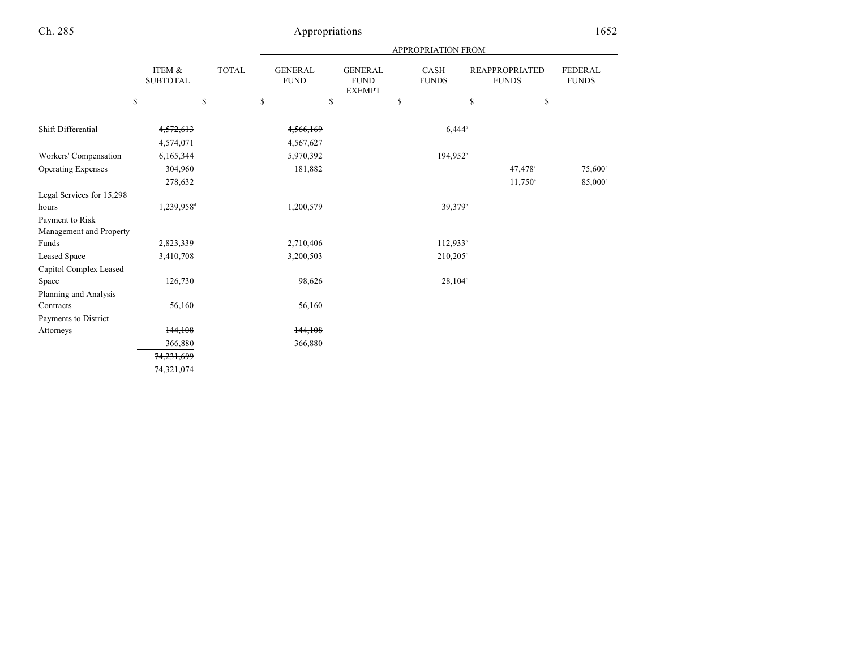|  | APPROPRIATION FROM |
|--|--------------------|

|                             | ITEM &<br><b>SUBTOTAL</b> | <b>TOTAL</b> | <b>GENERAL</b><br><b>FUND</b>               | <b>GENERAL</b><br><b>FUND</b><br><b>EXEMPT</b> | <b>CASH</b><br><b>FUNDS</b> | <b>REAPPROPRIATED</b><br><b>FUNDS</b> | <b>FEDERAL</b><br><b>FUNDS</b> |
|-----------------------------|---------------------------|--------------|---------------------------------------------|------------------------------------------------|-----------------------------|---------------------------------------|--------------------------------|
|                             | \$                        | \$           | $\mathbb{S}% _{n}^{X\rightarrow\mathbb{R}}$ | \$                                             | \$                          | \$                                    | \$                             |
| Shift Differential          | 4,572,613<br>4,574,071    |              | 4,566,169<br>4,567,627                      |                                                |                             | $6,444^{\circ}$                       |                                |
| Workers' Compensation       | 6,165,344                 |              | 5,970,392                                   |                                                | $194,952^{\circ}$           |                                       |                                |
| <b>Operating Expenses</b>   | 304,960                   |              | 181,882                                     |                                                |                             | 47,478                                | 75,600                         |
|                             | 278,632                   |              |                                             |                                                |                             | $11,750^{\circ}$                      | $85,000$ °                     |
| Legal Services for 15,298   |                           |              |                                             |                                                |                             |                                       |                                |
| hours                       | 1,239,958 <sup>d</sup>    |              | 1,200,579                                   |                                                |                             | 39,379 <sup>b</sup>                   |                                |
| Payment to Risk             |                           |              |                                             |                                                |                             |                                       |                                |
| Management and Property     |                           |              |                                             |                                                |                             |                                       |                                |
| $\ensuremath{\text{Funds}}$ | 2,823,339                 |              | 2,710,406                                   |                                                | $112,933^b$                 |                                       |                                |
| Leased Space                | 3,410,708                 |              | 3,200,503                                   |                                                | $210,205^{\circ}$           |                                       |                                |
| Capitol Complex Leased      |                           |              |                                             |                                                |                             |                                       |                                |
| Space                       | 126,730                   |              | 98,626                                      |                                                |                             | $28,104^{\circ}$                      |                                |
| Planning and Analysis       |                           |              |                                             |                                                |                             |                                       |                                |
| Contracts                   | 56,160                    |              | 56,160                                      |                                                |                             |                                       |                                |
| Payments to District        |                           |              |                                             |                                                |                             |                                       |                                |
| Attorneys                   | 144,108                   |              | 144,108                                     |                                                |                             |                                       |                                |
|                             | 366,880                   |              | 366,880                                     |                                                |                             |                                       |                                |
|                             | 74,231,699                |              |                                             |                                                |                             |                                       |                                |
|                             | 74,321,074                |              |                                             |                                                |                             |                                       |                                |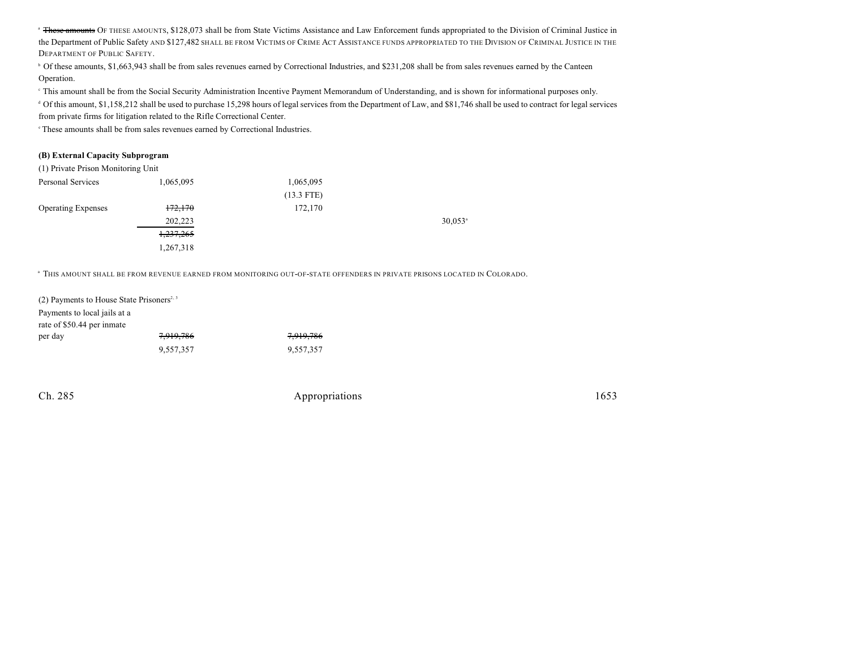<sup>a</sup> These amounts OF THESE AMOUNTS, \$128,073 shall be from State Victims Assistance and Law Enforcement funds appropriated to the Division of Criminal Justice in the Department of Public Safety AND \$127,482 SHALL BE FROM VICTIMS OF CRIME ACT ASSISTANCE FUNDS APPROPRIATED TO THE DIVISION OF CRIMINAL JUSTICE IN THE DEPARTMENT OF PUBLIC SAFETY.

<sup>b</sup> Of these amounts, \$1,663,943 shall be from sales revenues earned by Correctional Industries, and \$231,208 shall be from sales revenues earned by the Canteen Operation.

This amount shall be from the Social Security Administration Incentive Payment Memorandum of Understanding, and is shown for informational purposes only.

<sup>d</sup> Of this amount, \$1,158,212 shall be used to purchase 15,298 hours of legal services from the Department of Law, and \$81,746 shall be used to contract for legal services from private firms for litigation related to the Rifle Correctional Center.

<sup>e</sup> These amounts shall be from sales revenues earned by Correctional Industries.

#### **(B) External Capacity Subprogram**

(1) Private Prison Monitoring Unit

| Personal Services         | 1,065,095            | 1,065,095    |                       |
|---------------------------|----------------------|--------------|-----------------------|
|                           |                      | $(13.3$ FTE) |                       |
| <b>Operating Expenses</b> | 172,170              | 172,170      |                       |
|                           | 202,223              |              | $30.053$ <sup>a</sup> |
|                           | <del>1,237,265</del> |              |                       |
|                           | 1,267,318            |              |                       |
|                           |                      |              |                       |

 $\,^{\rm a}$  This amount shall be from revenue earned from monitoring out-of-state offenders in private prisons located in Colorado.

| (2) Payments to House State Prisoners <sup>2, 3</sup>      |           |           |  |  |  |
|------------------------------------------------------------|-----------|-----------|--|--|--|
| Payments to local jails at a<br>rate of \$50.44 per inmate |           |           |  |  |  |
| per day                                                    | 7,919,786 | 7,919,786 |  |  |  |
|                                                            | 9,557,357 | 9,557,357 |  |  |  |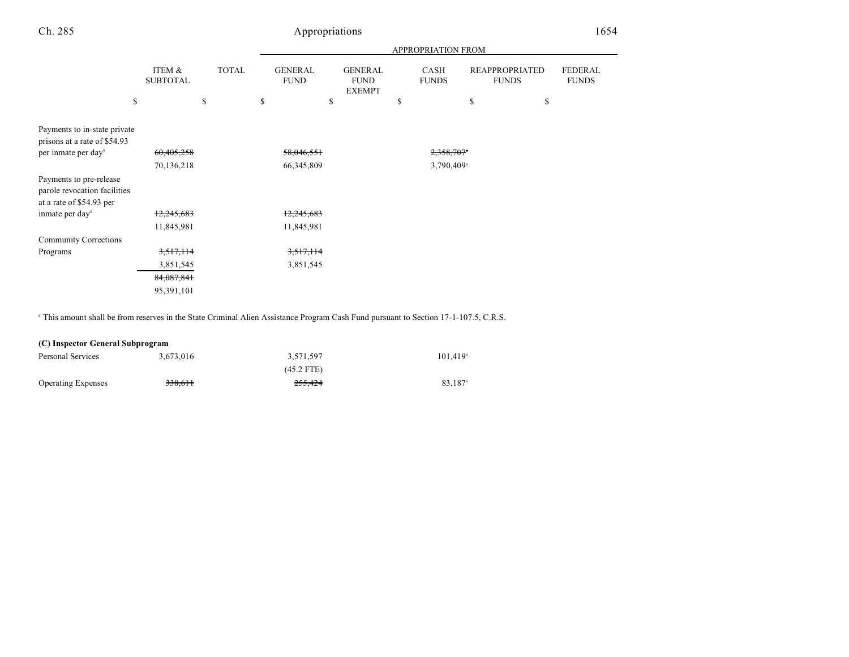|                                                                                     |                           |              | <b>APPROPRIATION FROM</b> |                                                |                             |                                       |                                |  |
|-------------------------------------------------------------------------------------|---------------------------|--------------|---------------------------|------------------------------------------------|-----------------------------|---------------------------------------|--------------------------------|--|
|                                                                                     | ITEM &<br><b>SUBTOTAL</b> | <b>TOTAL</b> |                           | <b>GENERAL</b><br><b>FUND</b><br><b>EXEMPT</b> | <b>CASH</b><br><b>FUNDS</b> | <b>REAPPROPRIATED</b><br><b>FUNDS</b> | <b>FEDERAL</b><br><b>FUNDS</b> |  |
|                                                                                     | \$                        | \$           | \$                        | \$                                             | \$                          | \$<br>\$                              |                                |  |
| Payments to in-state private<br>prisons at a rate of \$54.93                        |                           |              |                           |                                                |                             |                                       |                                |  |
| per inmate per day <sup>4</sup>                                                     | 60,405,258                |              | 58,046,551                |                                                | 2,358,707*                  |                                       |                                |  |
|                                                                                     | 70,136,218                |              | 66, 345, 809              |                                                | $3,790,409$ <sup>a</sup>    |                                       |                                |  |
| Payments to pre-release<br>parole revocation facilities<br>at a rate of \$54.93 per |                           |              |                           |                                                |                             |                                       |                                |  |
| inmate per day <sup>4</sup>                                                         | 12,245,683                |              | 12,245,683                |                                                |                             |                                       |                                |  |
|                                                                                     | 11,845,981                |              | 11,845,981                |                                                |                             |                                       |                                |  |
| <b>Community Corrections</b>                                                        |                           |              |                           |                                                |                             |                                       |                                |  |
| Programs                                                                            | 3,517,114                 |              | 3,517,114                 |                                                |                             |                                       |                                |  |
|                                                                                     | 3,851,545                 |              | 3,851,545                 |                                                |                             |                                       |                                |  |
|                                                                                     | 84,087,841                |              |                           |                                                |                             |                                       |                                |  |
|                                                                                     | 95,391,101                |              |                           |                                                |                             |                                       |                                |  |

<sup>a</sup> This amount shall be from reserves in the State Criminal Alien Assistance Program Cash Fund pursuant to Section 17-1-107.5, C.R.S.

| (C) Inspector General Subprogram |           |              |                        |  |  |  |
|----------------------------------|-----------|--------------|------------------------|--|--|--|
| Personal Services                | 3.673.016 | 3.571.597    | $101.419$ <sup>a</sup> |  |  |  |
|                                  |           | $(45.2$ FTE) |                        |  |  |  |
| <b>Operating Expenses</b>        | 338.611   | 255,424      | 83.187 <sup>a</sup>    |  |  |  |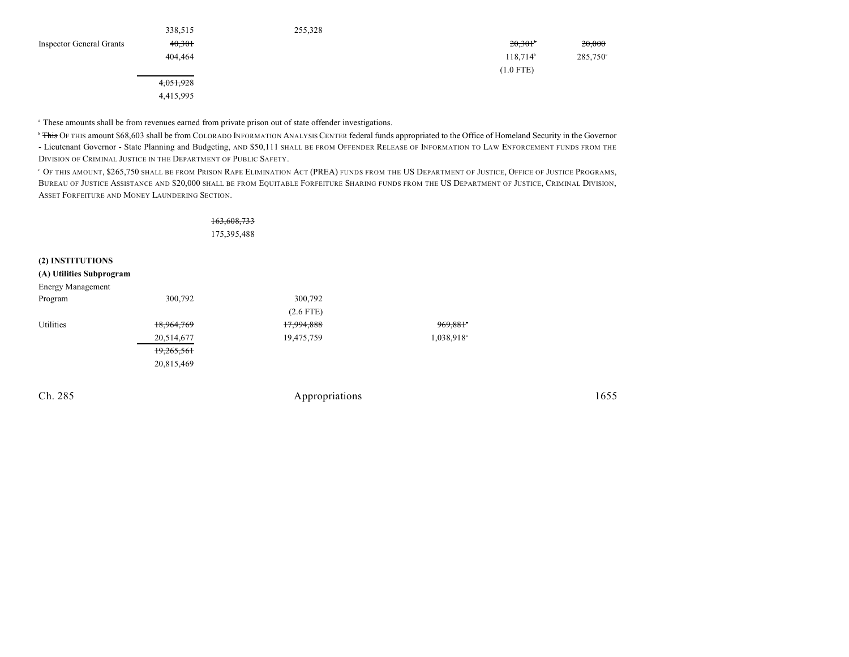|                                 | 338,515   | 255,328 |                   |                   |
|---------------------------------|-----------|---------|-------------------|-------------------|
| <b>Inspector General Grants</b> | 40,301    |         | 20,301            | 20,000            |
|                                 | 404,464   |         | $118,714^{\circ}$ | $285,750^{\circ}$ |
|                                 |           |         | $(1.0$ FTE)       |                   |
|                                 | 4,051,928 |         |                   |                   |
|                                 | 4,415,995 |         |                   |                   |

<sup>a</sup> These amounts shall be from revenues earned from private prison out of state offender investigations.

<sup>b</sup> This OF THIS amount \$68,603 shall be from COLORADO INFORMATION ANALYSIS CENTER federal funds appropriated to the Office of Homeland Security in the Governor - Lieutenant Governor - State Planning and Budgeting, AND \$50,111 SHALL BE FROM OFFENDER RELEASE OF INFORMATION TO LAW ENFORCEMENT FUNDS FROM THE DIVISION OF CRIMINAL JUSTICE IN THE DEPARTMENT OF PUBLIC SAFETY.

 $^\circ$  Of this amount, \$265,750 shall be from Prison Rape Elimination Act (PREA) funds from the US Department of Justice, Office of Justice Programs, BUREAU OF JUSTICE ASSISTANCE AND \$20,000 SHALL BE FROM EQUITABLE FORFEITURE SHARING FUNDS FROM THE US DEPARTMENT OF JUSTICE, CRIMINAL DIVISION, ASSET FORFEITURE AND MONEY LAUNDERING SECTION.

|                          |            | 163,608,733    |                        |      |
|--------------------------|------------|----------------|------------------------|------|
|                          |            | 175,395,488    |                        |      |
| (2) INSTITUTIONS         |            |                |                        |      |
| (A) Utilities Subprogram |            |                |                        |      |
| <b>Energy Management</b> |            |                |                        |      |
| Program                  | 300,792    | 300,792        |                        |      |
|                          |            | $(2.6$ FTE)    |                        |      |
| Utilities                | 18,964,769 | 17,994,888     | 969,881*               |      |
|                          | 20,514,677 | 19,475,759     | 1,038,918 <sup>a</sup> |      |
|                          | 19,265,561 |                |                        |      |
|                          | 20,815,469 |                |                        |      |
|                          |            |                |                        |      |
| Ch. 285                  |            | Appropriations |                        | 1655 |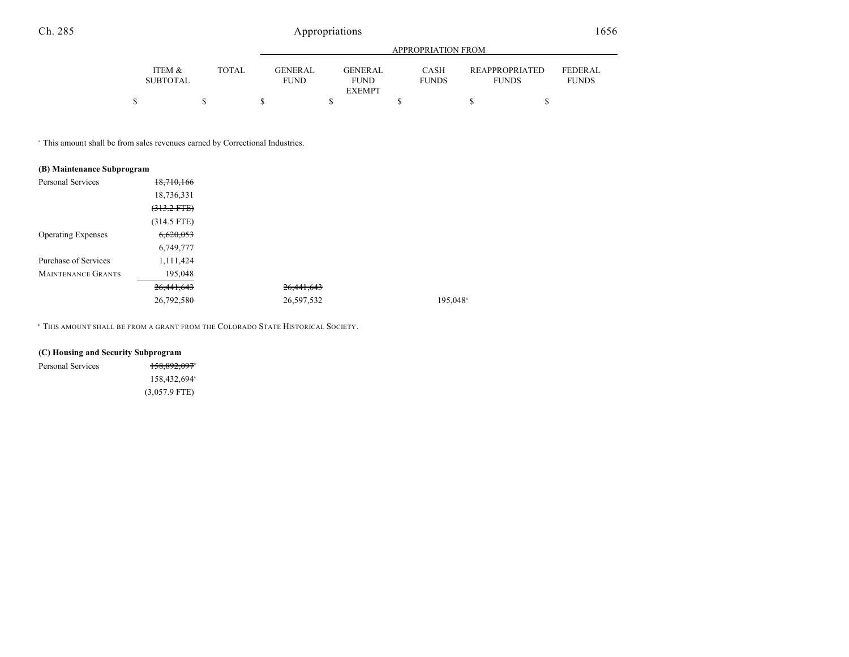|                           |       |             | APPROPRIATION FROM                        |                      |                                       |                                |  |  |  |
|---------------------------|-------|-------------|-------------------------------------------|----------------------|---------------------------------------|--------------------------------|--|--|--|
| ITEM &<br><b>SUBTOTAL</b> | TOTAL | <b>FUND</b> | GENER AL<br><b>GENERAL</b><br><b>FUND</b> | CASH<br><b>FUNDS</b> | <b>REAPPROPRIATED</b><br><b>FUNDS</b> | <b>FEDERAL</b><br><b>FUNDS</b> |  |  |  |
|                           |       |             | <b>EXEMPT</b>                             |                      |                                       |                                |  |  |  |
|                           |       |             |                                           |                      |                                       |                                |  |  |  |

 $195,048$ <sup>a</sup>

This amount shall be from sales revenues earned by Correctional Industries. <sup>a</sup>

| (B) Maintenance Subprogram |                  |              |         |
|----------------------------|------------------|--------------|---------|
| Personal Services          | 18,710,166       |              |         |
|                            | 18,736,331       |              |         |
|                            | $(313.2$ FTE $)$ |              |         |
|                            | (314.5 FTE)      |              |         |
| <b>Operating Expenses</b>  | 6,620,053        |              |         |
|                            | 6,749,777        |              |         |
| Purchase of Services       | 1,111,424        |              |         |
| <b>MAINTENANCE GRANTS</b>  | 195,048          |              |         |
|                            | 26,441,643       | 26, 441, 643 |         |
|                            | 26,792,580       | 26,597,532   | 195,048 |

<sup>a</sup> This amount shall be from a grant from the Colorado State Historical Society.

| (C) Housing and Security Subprogram |                          |  |  |
|-------------------------------------|--------------------------|--|--|
| Personal Services                   | 158,892,097*             |  |  |
|                                     | 158,432,694 <sup>a</sup> |  |  |
|                                     | $(3,057.9$ FTE)          |  |  |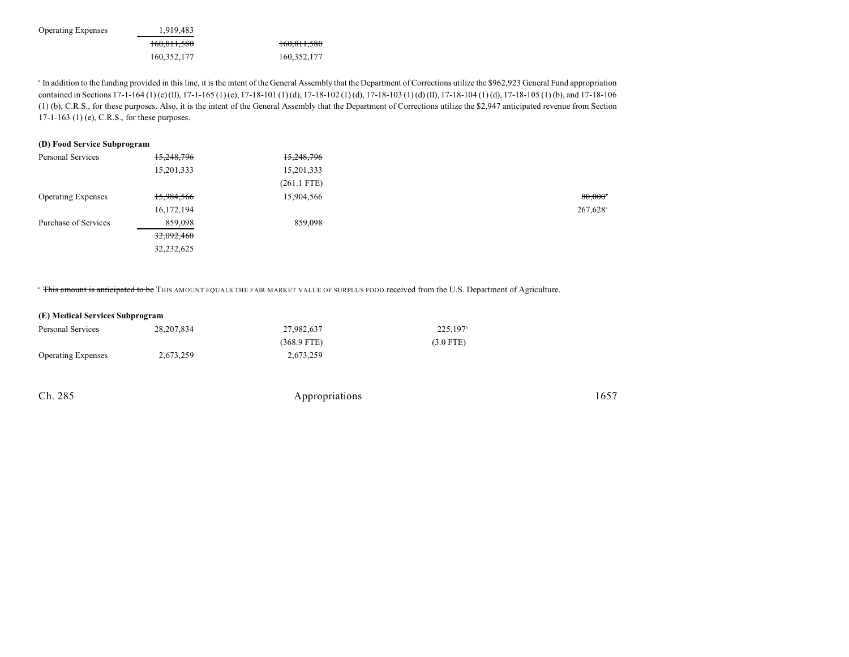Operating Expenses 1,919,483 160,811,580 160,811,580 160,352,177 160,352,177

<sup>a</sup> In addition to the funding provided in this line, it is the intent of the General Assembly that the Department of Corrections utilize the \$962,923 General Fund appropriation contained in Sections 17-1-164 (1) (e) (II), 17-1-165 (1) (e), 17-18-101 (1) (d), 17-18-102 (1) (d), 17-18-103 (1) (d) (II), 17-18-104 (1) (d), 17-18-105 (1) (b), and 17-18-106 (1) (b), C.R.S., for these purposes. Also, it is the intent of the General Assembly that the Department of Corrections utilize the \$2,947 anticipated revenue from Section 17-1-163 (1) (e), C.R.S., for these purposes.

#### **(D) Food Service Subprogram**

| Personal Services         | 15,248,796 | 15,248,796    |                        |
|---------------------------|------------|---------------|------------------------|
|                           | 15,201,333 | 15,201,333    |                        |
|                           |            | $(261.1$ FTE) |                        |
| <b>Operating Expenses</b> | 15,984,566 | 15,904,566    | $80,000$ <sup>*</sup>  |
|                           | 16,172,194 |               | $267,628$ <sup>a</sup> |
| Purchase of Services      | 859,098    | 859,098       |                        |
|                           | 32,092,460 |               |                        |
|                           | 32,232,625 |               |                        |
|                           |            |               |                        |

<sup>a</sup> This amount is anticipated to be THIS AMOUNT EQUALS THE FAIR MARKET VALUE OF SURPLUS FOOD received from the U.S. Department of Agriculture.

#### **(E) Medical Services Subprogram**

| Personal Services         | 28, 207, 834 | 27.982.637    |             |
|---------------------------|--------------|---------------|-------------|
|                           |              | $(368.9$ FTE) | $(3.0$ FTE) |
| <b>Operating Expenses</b> | 2,673,259    | 2,673,259     |             |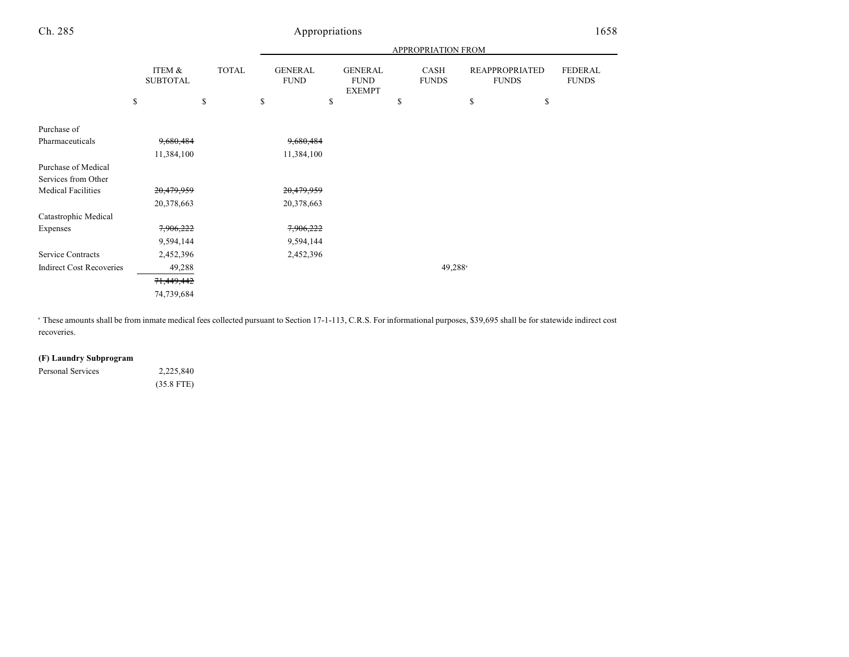|                                 |                           |              |                               |                                                | APPROPRIATION FROM   |                                       |                                |
|---------------------------------|---------------------------|--------------|-------------------------------|------------------------------------------------|----------------------|---------------------------------------|--------------------------------|
|                                 | ITEM &<br><b>SUBTOTAL</b> | <b>TOTAL</b> | <b>GENERAL</b><br><b>FUND</b> | <b>GENERAL</b><br><b>FUND</b><br><b>EXEMPT</b> | CASH<br><b>FUNDS</b> | <b>REAPPROPRIATED</b><br><b>FUNDS</b> | <b>FEDERAL</b><br><b>FUNDS</b> |
|                                 | \$                        | \$           | \$                            | \$                                             | <sup>\$</sup>        | \$                                    | \$                             |
| Purchase of                     |                           |              |                               |                                                |                      |                                       |                                |
| Pharmaceuticals                 | 9,680,484                 |              | 9,680,484                     |                                                |                      |                                       |                                |
|                                 | 11,384,100                |              | 11,384,100                    |                                                |                      |                                       |                                |
| Purchase of Medical             |                           |              |                               |                                                |                      |                                       |                                |
| Services from Other             |                           |              |                               |                                                |                      |                                       |                                |
| <b>Medical Facilities</b>       | 20,479,959                |              | 20,479,959                    |                                                |                      |                                       |                                |
|                                 | 20,378,663                |              | 20,378,663                    |                                                |                      |                                       |                                |
| Catastrophic Medical            |                           |              |                               |                                                |                      |                                       |                                |
| Expenses                        | 7,906,222                 |              | 7,906,222                     |                                                |                      |                                       |                                |
|                                 | 9,594,144                 |              | 9,594,144                     |                                                |                      |                                       |                                |
| Service Contracts               | 2,452,396                 |              | 2,452,396                     |                                                |                      |                                       |                                |
| <b>Indirect Cost Recoveries</b> | 49,288                    |              |                               |                                                |                      | 49,288 <sup>a</sup>                   |                                |
|                                 | 71,449,442                |              |                               |                                                |                      |                                       |                                |
|                                 | 74,739,684                |              |                               |                                                |                      |                                       |                                |

These amounts shall be from inmate medical fees collected pursuant to Section 17-1-113, C.R.S. For informational purposes, \$39,695 shall be for statewide indirect cost <sup>a</sup> recoveries.

### **(F) Laundry Subprogram**

| Personal Services | 2,225,840    |
|-------------------|--------------|
|                   | $(35.8$ FTE) |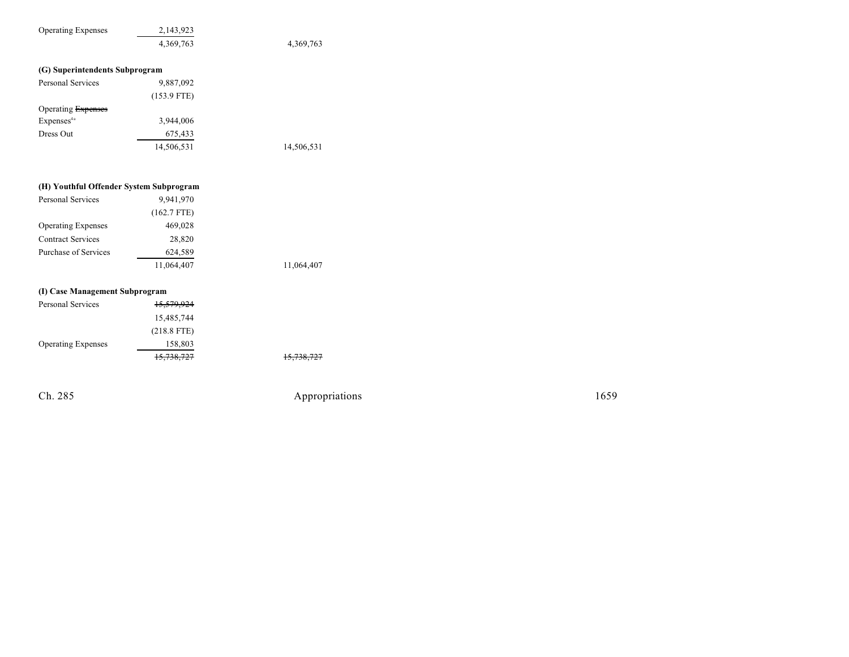| <b>Operating Expenses</b>      | 2,143,923<br>4,369,763 | 4,369,763 |
|--------------------------------|------------------------|-----------|
| (G) Superintendents Subprogram |                        |           |
| Personal Services              | 9,887,092              |           |
|                                | $(153.9$ FTE)          |           |
| Operating Expenses             |                        |           |
| Expenses <sup>4a</sup>         | 3,944,006              |           |

14,506,531 14,506,531

### **(H) Youthful Offender System Subprogra m**

Dress Out 675,433

| 9,941,970     |            |
|---------------|------------|
| $(162.7$ FTE) |            |
| 469,028       |            |
| 28,820        |            |
| 624,589       |            |
| 11,064,407    | 11,064,407 |
|               |            |

### **(I) Case Management Subprogram**

| Personal Services         | 15,579,924    |            |
|---------------------------|---------------|------------|
|                           | 15,485,744    |            |
|                           | $(218.8$ FTE) |            |
| <b>Operating Expenses</b> | 158,803       |            |
|                           | 15,738,727    | 15,738,727 |

Ch. 285

Appropriations

1 6 5 9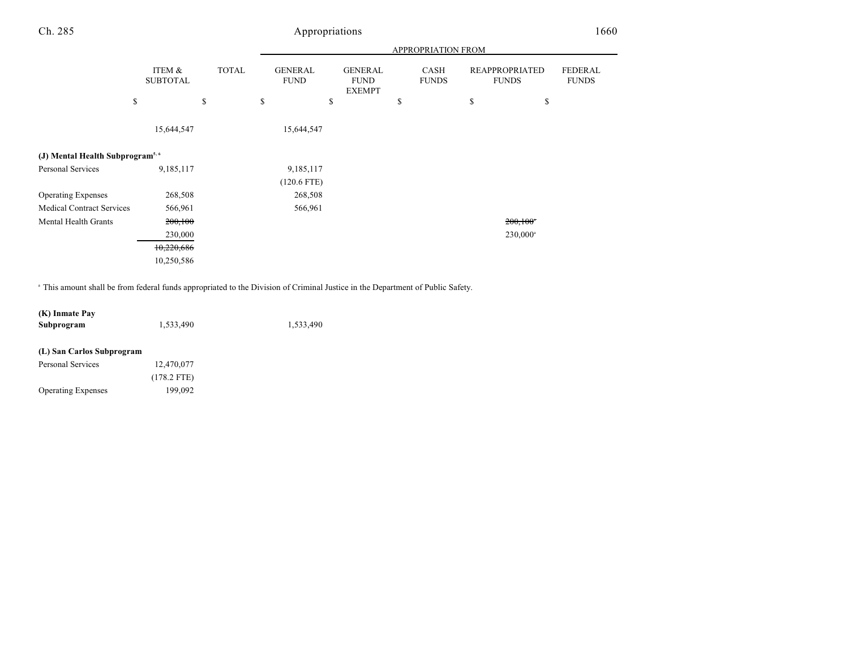|                                             |                           |              | APPROPRIATION FROM            |                                                |                      |                                       |                                |
|---------------------------------------------|---------------------------|--------------|-------------------------------|------------------------------------------------|----------------------|---------------------------------------|--------------------------------|
|                                             | ITEM &<br><b>SUBTOTAL</b> | <b>TOTAL</b> | <b>GENERAL</b><br><b>FUND</b> | <b>GENERAL</b><br><b>FUND</b><br><b>EXEMPT</b> | CASH<br><b>FUNDS</b> | <b>REAPPROPRIATED</b><br><b>FUNDS</b> | <b>FEDERAL</b><br><b>FUNDS</b> |
|                                             | \$                        | \$           | \$<br>\$                      |                                                | \$                   | \$                                    | \$                             |
|                                             | 15,644,547                |              | 15,644,547                    |                                                |                      |                                       |                                |
| (J) Mental Health Subprogram <sup>5,6</sup> |                           |              |                               |                                                |                      |                                       |                                |
| Personal Services                           | 9,185,117                 |              | 9,185,117<br>$(120.6$ FTE)    |                                                |                      |                                       |                                |
| <b>Operating Expenses</b>                   | 268,508                   |              | 268,508                       |                                                |                      |                                       |                                |
| <b>Medical Contract Services</b>            | 566,961                   |              | 566,961                       |                                                |                      |                                       |                                |
| Mental Health Grants                        | 200,100                   |              |                               |                                                |                      | $200,100$ <sup>*</sup>                |                                |
|                                             | 230,000                   |              |                               |                                                |                      | 230,000 <sup>a</sup>                  |                                |
|                                             | 10,220,686                |              |                               |                                                |                      |                                       |                                |
|                                             | 10,250,586                |              |                               |                                                |                      |                                       |                                |

<sup>a</sup> This amount shall be from federal funds appropriated to the Division of Criminal Justice in the Department of Public Safety.

| (K) Inmate Pay |           |           |
|----------------|-----------|-----------|
| Subprogram     | 1.533.490 | 1.533.490 |

### **(L) San Carlos Subprogram**

| Personal Services         | 12,470,077    |
|---------------------------|---------------|
|                           | $(178.2$ FTE) |
| <b>Operating Expenses</b> | 199,092       |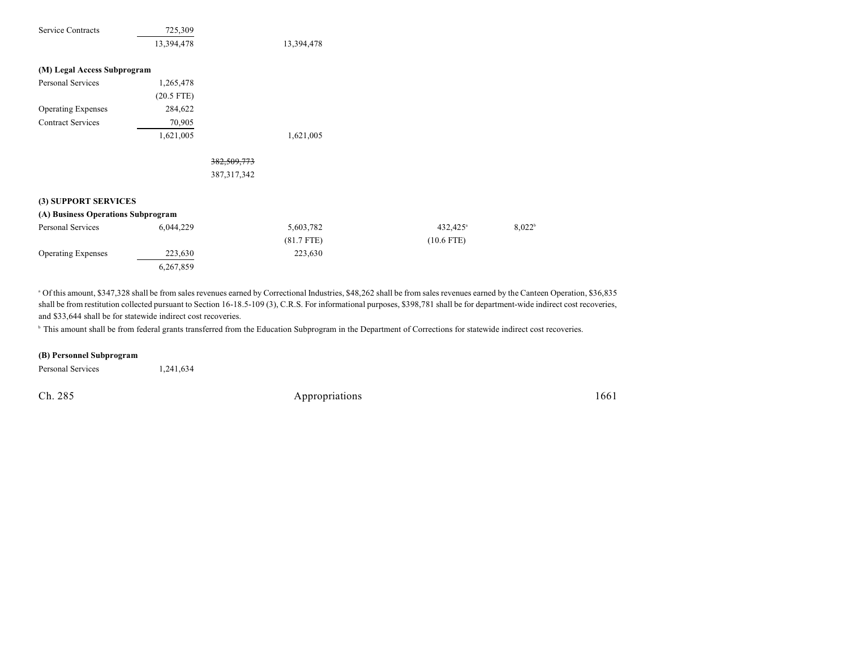| <b>Service Contracts</b>           | 725,309      |               |              |                      |                      |
|------------------------------------|--------------|---------------|--------------|----------------------|----------------------|
|                                    | 13,394,478   |               | 13,394,478   |                      |                      |
| (M) Legal Access Subprogram        |              |               |              |                      |                      |
| Personal Services                  | 1,265,478    |               |              |                      |                      |
|                                    | $(20.5$ FTE) |               |              |                      |                      |
| <b>Operating Expenses</b>          | 284,622      |               |              |                      |                      |
| <b>Contract Services</b>           | 70,905       |               |              |                      |                      |
|                                    | 1,621,005    |               | 1,621,005    |                      |                      |
|                                    |              | 382,509,773   |              |                      |                      |
|                                    |              | 387, 317, 342 |              |                      |                      |
| (3) SUPPORT SERVICES               |              |               |              |                      |                      |
| (A) Business Operations Subprogram |              |               |              |                      |                      |
| Personal Services                  | 6,044,229    |               | 5,603,782    | 432,425 <sup>a</sup> | $8,022$ <sup>t</sup> |
|                                    |              |               | $(81.7$ FTE) | $(10.6$ FTE)         |                      |
| <b>Operating Expenses</b>          | 223,630      |               | 223,630      |                      |                      |
|                                    | 6,267,859    |               |              |                      |                      |

 $^{\circ}$  Of this amount, \$347,328 shall be from sales revenues earned by Correctional Industries, \$48,262 shall be from sales revenues earned by the Canteen Operation, \$36,835 shall be from restitution collected pursuant to Section 16-18.5-109 (3), C.R.S. For informational purposes, \$398,781 shall be for department-wide indirect cost recoveries, and \$33,644 shall be for statewide indirect cost recoveries.

<sup>b</sup> This amount shall be from federal grants transferred from the Education Subprogram in the Department of Corrections for statewide indirect cost recoveries.

#### **(B) Personnel Subprogram**

Personal Services 1,241,634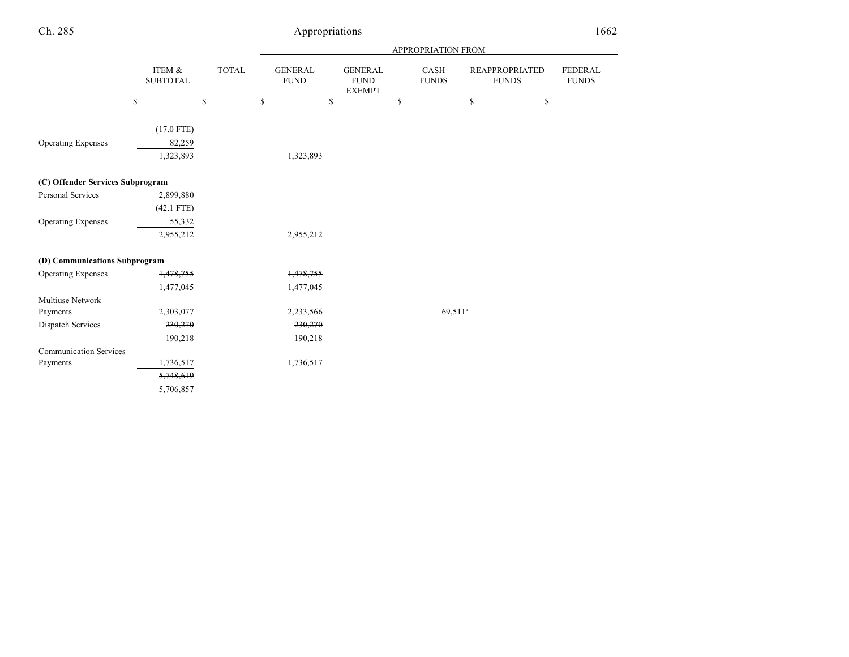|                                  |                                     |              | <b>APPROPRIATION FROM</b>     |                                                |                      |                                       |                                |
|----------------------------------|-------------------------------------|--------------|-------------------------------|------------------------------------------------|----------------------|---------------------------------------|--------------------------------|
|                                  | ITEM &<br><b>SUBTOTAL</b>           | TOTAL        | <b>GENERAL</b><br><b>FUND</b> | <b>GENERAL</b><br><b>FUND</b><br><b>EXEMPT</b> | CASH<br><b>FUNDS</b> | <b>REAPPROPRIATED</b><br><b>FUNDS</b> | <b>FEDERAL</b><br><b>FUNDS</b> |
|                                  | \$                                  | $\mathbb{S}$ | \$                            | \$                                             | \$                   | $\mathbb{S}$<br>\$                    |                                |
| <b>Operating Expenses</b>        | $(17.0$ FTE)<br>82,259<br>1,323,893 |              | 1,323,893                     |                                                |                      |                                       |                                |
| (C) Offender Services Subprogram |                                     |              |                               |                                                |                      |                                       |                                |
| <b>Personal Services</b>         | 2,899,880                           |              |                               |                                                |                      |                                       |                                |
|                                  | $(42.1$ FTE)                        |              |                               |                                                |                      |                                       |                                |
| <b>Operating Expenses</b>        | 55,332                              |              |                               |                                                |                      |                                       |                                |
|                                  | 2,955,212                           |              | 2,955,212                     |                                                |                      |                                       |                                |
| (D) Communications Subprogram    |                                     |              |                               |                                                |                      |                                       |                                |
| <b>Operating Expenses</b>        | 1,478,755                           |              | 1,478,755                     |                                                |                      |                                       |                                |
|                                  | 1,477,045                           |              | 1,477,045                     |                                                |                      |                                       |                                |
| Multiuse Network                 |                                     |              |                               |                                                |                      |                                       |                                |
| Payments                         | 2,303,077                           |              | 2,233,566                     |                                                | 69.511 <sup>a</sup>  |                                       |                                |
| Dispatch Services                | 230,270                             |              | 230,270                       |                                                |                      |                                       |                                |
|                                  | 190,218                             |              | 190,218                       |                                                |                      |                                       |                                |
| <b>Communication Services</b>    |                                     |              |                               |                                                |                      |                                       |                                |
| Payments                         | 1,736,517                           |              | 1,736,517                     |                                                |                      |                                       |                                |
|                                  | 5,748,619                           |              |                               |                                                |                      |                                       |                                |
|                                  | 5,706,857                           |              |                               |                                                |                      |                                       |                                |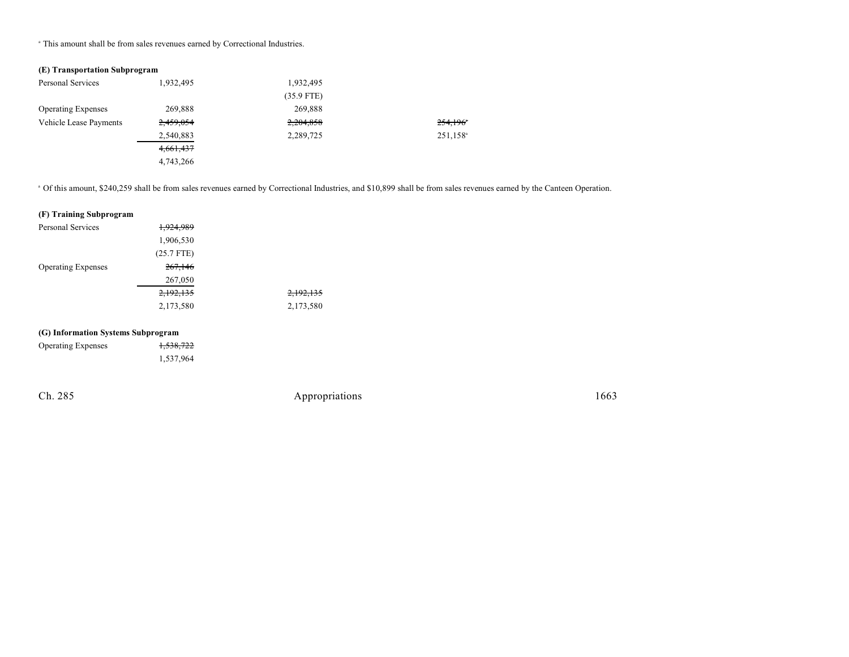This amount shall be from sales revenues earned by Correctional Industries. <sup>a</sup>

### **(E) Transportation Subprogram**

| Personal Services         | 1,932,495 | 1,932,495    |                        |
|---------------------------|-----------|--------------|------------------------|
|                           |           | $(35.9$ FTE) |                        |
| <b>Operating Expenses</b> | 269,888   | 269.888      |                        |
| Vehicle Lease Payments    | 2,459,054 | 2,204,858    | $254.196$ <sup>*</sup> |
|                           | 2,540,883 | 2,289,725    | 251,158 <sup>a</sup>   |
|                           | 4,661,437 |              |                        |
|                           | 4,743,266 |              |                        |

<sup>a</sup> Of this amount, \$240,259 shall be from sales revenues earned by Correctional Industries, and \$10,899 shall be from sales revenues earned by the Canteen Operation.

| (F) Training Subprogram            |                      |                      |
|------------------------------------|----------------------|----------------------|
| Personal Services                  | <del>1,924,989</del> |                      |
|                                    | 1,906,530            |                      |
|                                    | $(25.7$ FTE)         |                      |
| <b>Operating Expenses</b>          | 267,146              |                      |
|                                    | 267,050              |                      |
|                                    | 2,192,135            | <del>2,192,135</del> |
|                                    | 2,173,580            | 2,173,580            |
| (G) Information Systems Subprogram |                      |                      |

| $\mathcal{L}_{\mathcal{L}}$ and mation by stems bubble $\mathcal{L}_{\mathcal{L}}$ and |           |
|----------------------------------------------------------------------------------------|-----------|
| <b>Operating Expenses</b>                                                              | 1,538,722 |

|  |  | 1,537,964 |
|--|--|-----------|
|  |  |           |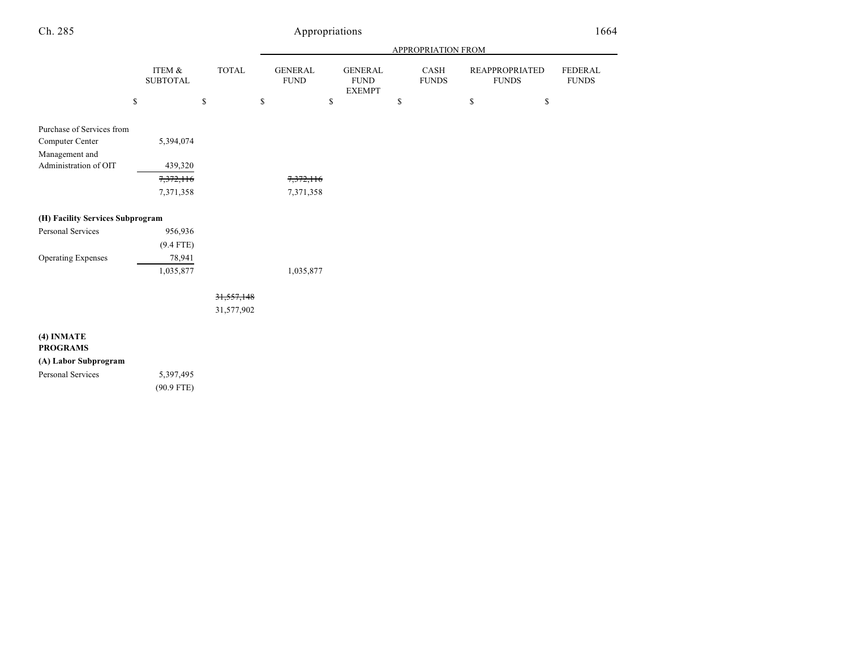|--|--|

|                                                                                         |                                   |                            | APPROPRIATION FROM            |                                                 |                      |                                       |                         |
|-----------------------------------------------------------------------------------------|-----------------------------------|----------------------------|-------------------------------|-------------------------------------------------|----------------------|---------------------------------------|-------------------------|
|                                                                                         | ITEM &<br><b>SUBTOTAL</b>         | TOTAL                      | <b>GENERAL</b><br><b>FUND</b> | <b>GENERAL</b><br>${\rm FUND}$<br><b>EXEMPT</b> | CASH<br><b>FUNDS</b> | <b>REAPPROPRIATED</b><br><b>FUNDS</b> | FEDERAL<br><b>FUNDS</b> |
|                                                                                         | \$<br>\$                          | $\mathbb{S}$               |                               | $\mathbb{S}$                                    | \$                   | \$<br>\$                              |                         |
| Purchase of Services from<br>Computer Center<br>Management and<br>Administration of OIT | 5,394,074<br>439,320<br>7,372,116 |                            |                               |                                                 |                      |                                       |                         |
|                                                                                         | 7,371,358                         |                            | 7,372,116<br>7,371,358        |                                                 |                      |                                       |                         |
|                                                                                         |                                   |                            |                               |                                                 |                      |                                       |                         |
| (H) Facility Services Subprogram                                                        |                                   |                            |                               |                                                 |                      |                                       |                         |
| Personal Services                                                                       | 956,936                           |                            |                               |                                                 |                      |                                       |                         |
|                                                                                         | $(9.4$ FTE)                       |                            |                               |                                                 |                      |                                       |                         |
| Operating Expenses                                                                      | 78,941                            |                            |                               |                                                 |                      |                                       |                         |
|                                                                                         | 1,035,877                         |                            | 1,035,877                     |                                                 |                      |                                       |                         |
|                                                                                         |                                   | 31, 557, 148<br>31,577,902 |                               |                                                 |                      |                                       |                         |
| (4) INMATE<br><b>PROGRAMS</b><br>(A) Labor Subprogram<br>Personal Services              | 5,397,495<br>$(90.9$ FTE)         |                            |                               |                                                 |                      |                                       |                         |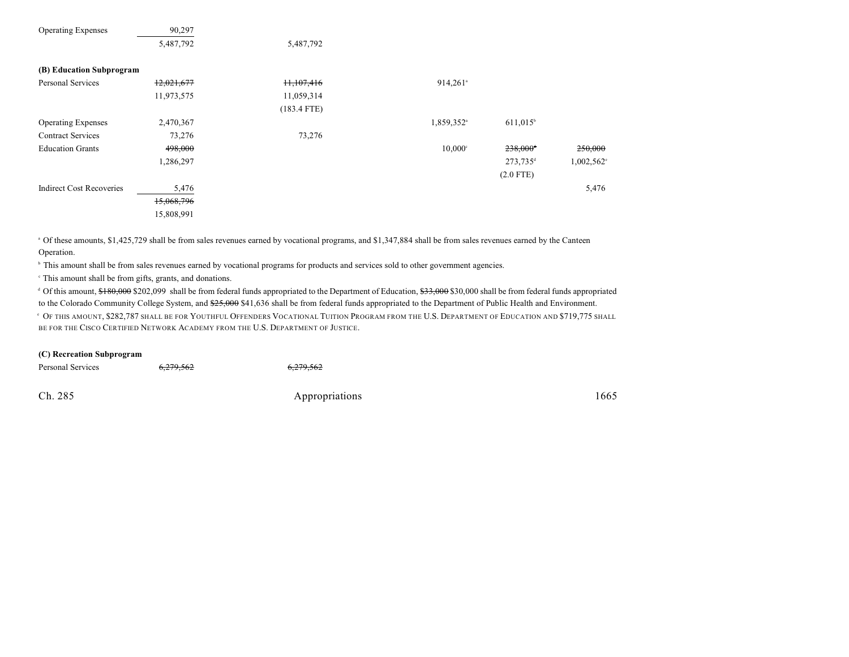| 90,297                   |               |                        |                        |           |
|--------------------------|---------------|------------------------|------------------------|-----------|
| 5,487,792                | 5,487,792     |                        |                        |           |
| (B) Education Subprogram |               |                        |                        |           |
| 12,021,677               | 11,107,416    | $914,261$ <sup>a</sup> |                        |           |
| 11,973,575               | 11,059,314    |                        |                        |           |
|                          | $(183.4$ FTE) |                        |                        |           |
| 2,470,367                |               | 1,859,352 <sup>a</sup> | $611,015$ <sup>b</sup> |           |
| 73,276                   | 73,276        |                        |                        |           |
| 498,000                  |               | $10,000^{\circ}$       | $238,000^+$            | 250,000   |
| 1,286,297                |               |                        | $273,735^{\rm d}$      | 1,002,562 |
|                          |               |                        | $(2.0$ FTE)            |           |
| 5,476                    |               |                        |                        | 5,476     |
| 15,068,796               |               |                        |                        |           |
| 15,808,991               |               |                        |                        |           |
|                          |               |                        |                        |           |

<sup>a</sup> Of these amounts, \$1,425,729 shall be from sales revenues earned by vocational programs, and \$1,347,884 shall be from sales revenues earned by the Canteen Operation.

<sup>b</sup> This amount shall be from sales revenues earned by vocational programs for products and services sold to other government agencies.

 $\cdot$  This amount shall be from gifts, grants, and donations.

<sup>d</sup> Of this amount, \$180,000 \$202,099 shall be from federal funds appropriated to the Department of Education, \$33,000 \$30,000 shall be from federal funds appropriated to the Colorado Community College System, and \$25,000 \$41,636 shall be from federal funds appropriated to the Department of Public Health and Environment.

 $\cdot$  Of this amount, \$282,787 shall be for Youthful Offenders Vocational Tuition Program from the U.S. Department of Education and \$719,775 shall BE FOR THE CISCO CERTIFIED NETWORK ACADEMY FROM THE U.S. DEPARTMENT OF JUSTICE.

#### **(C) Recreation Subprogram**

| Personal Services | <del>6,279,562</del> | <del>6,279,562</del> |      |
|-------------------|----------------------|----------------------|------|
| Ch. 285           |                      | Appropriations       | 1665 |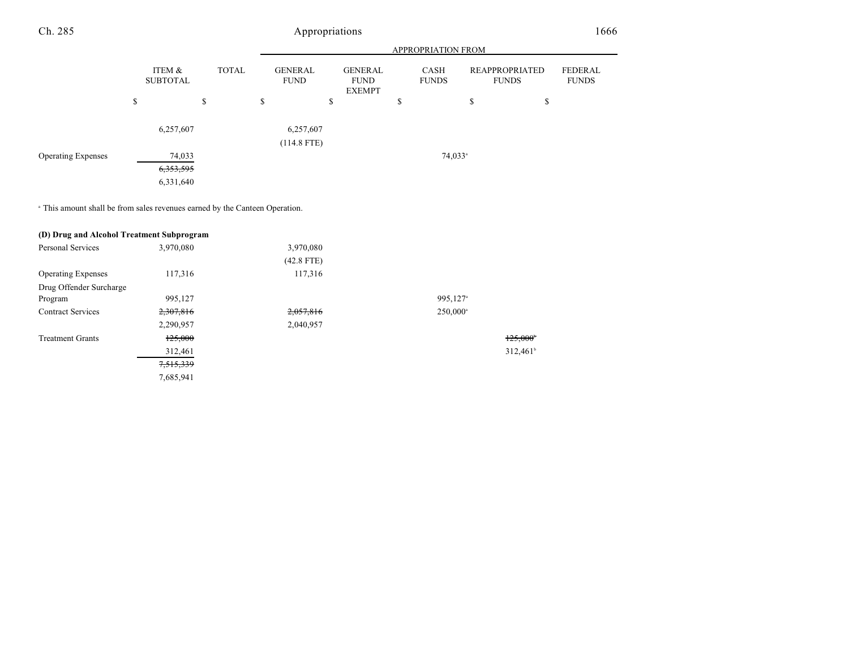|                           |                           |              | <b>APPROPRIATION FROM</b>  |                                         |                      |                                       |                         |
|---------------------------|---------------------------|--------------|----------------------------|-----------------------------------------|----------------------|---------------------------------------|-------------------------|
|                           | ITEM &<br><b>SUBTOTAL</b> | <b>TOTAL</b> | GENERAL<br><b>FUND</b>     | GENERAL<br><b>FUND</b><br><b>EXEMPT</b> | CASH<br><b>FUNDS</b> | <b>REAPPROPRIATED</b><br><b>FUNDS</b> | FEDERAL<br><b>FUNDS</b> |
|                           | \$                        | \$           | \$                         | ¢<br>D                                  | \$                   | \$<br>\$                              |                         |
|                           | 6,257,607                 |              | 6,257,607<br>$(114.8$ FTE) |                                         |                      |                                       |                         |
| <b>Operating Expenses</b> | 74,033<br>6, 353, 595     |              |                            |                                         | $74,033^{\circ}$     |                                       |                         |
|                           | 6,331,640                 |              |                            |                                         |                      |                                       |                         |

<sup>a</sup> This amount shall be from sales revenues earned by the Canteen Operation.

| (D) Drug and Alcohol Treatment Subprogram |           |              |                      |                   |
|-------------------------------------------|-----------|--------------|----------------------|-------------------|
| <b>Personal Services</b>                  | 3,970,080 | 3,970,080    |                      |                   |
|                                           |           | $(42.8$ FTE) |                      |                   |
| <b>Operating Expenses</b>                 | 117,316   | 117,316      |                      |                   |
| Drug Offender Surcharge                   |           |              |                      |                   |
| Program                                   | 995.127   |              | 995.127 <sup>a</sup> |                   |
| <b>Contract Services</b>                  | 2,307,816 | 2,057,816    | 250,000 <sup>a</sup> |                   |
|                                           | 2,290,957 | 2,040,957    |                      |                   |
| <b>Treatment Grants</b>                   | 125,000   |              |                      | $125,000^{\circ}$ |
|                                           | 312,461   |              |                      | $312,461^{\circ}$ |
|                                           | 7,515,339 |              |                      |                   |
|                                           | 7,685,941 |              |                      |                   |
|                                           |           |              |                      |                   |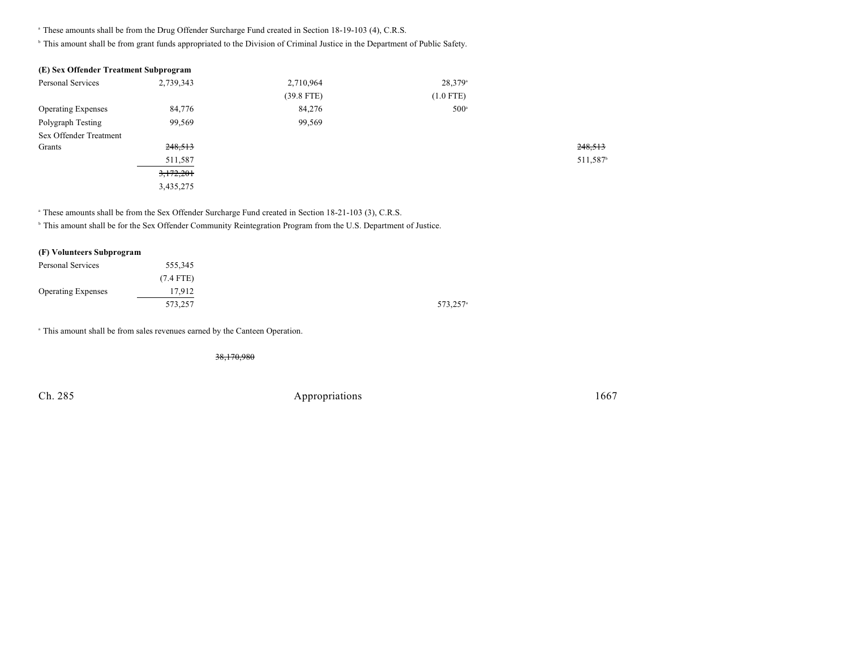<sup>a</sup> These amounts shall be from the Drug Offender Surcharge Fund created in Section 18-19-103 (4), C.R.S.

<sup>h</sup> This amount shall be from grant funds appropriated to the Division of Criminal Justice in the Department of Public Safety.

| (E) Sex Offender Treatment Subprogram |           |              |                  |                      |
|---------------------------------------|-----------|--------------|------------------|----------------------|
| <b>Personal Services</b>              | 2,739,343 | 2,710,964    | $28,379^{\circ}$ |                      |
|                                       |           | $(39.8$ FTE) | $(1.0$ FTE)      |                      |
| <b>Operating Expenses</b>             | 84,776    | 84,276       | $500^{\circ}$    |                      |
| Polygraph Testing                     | 99,569    | 99,569       |                  |                      |
| Sex Offender Treatment                |           |              |                  |                      |
| Grants                                | 248,513   |              |                  | 248,513              |
|                                       | 511,587   |              |                  | 511,587 <sup>b</sup> |
|                                       | 3,172,201 |              |                  |                      |
|                                       | 3,435,275 |              |                  |                      |

<sup>a</sup> These amounts shall be from the Sex Offender Surcharge Fund created in Section 18-21-103 (3), C.R.S.

<sup>b</sup> This amount shall be for the Sex Offender Community Reintegration Program from the U.S. Department of Justice.

| (F) Volunteers Subprogram |             |
|---------------------------|-------------|
| Personal Services         | 555,345     |
|                           | $(7.4$ FTE) |
| <b>Operating Expenses</b> | 17,912      |
|                           | 573,257     |

<sup>a</sup> This amount shall be from sales revenues earned by the Canteen Operation.

38,170,980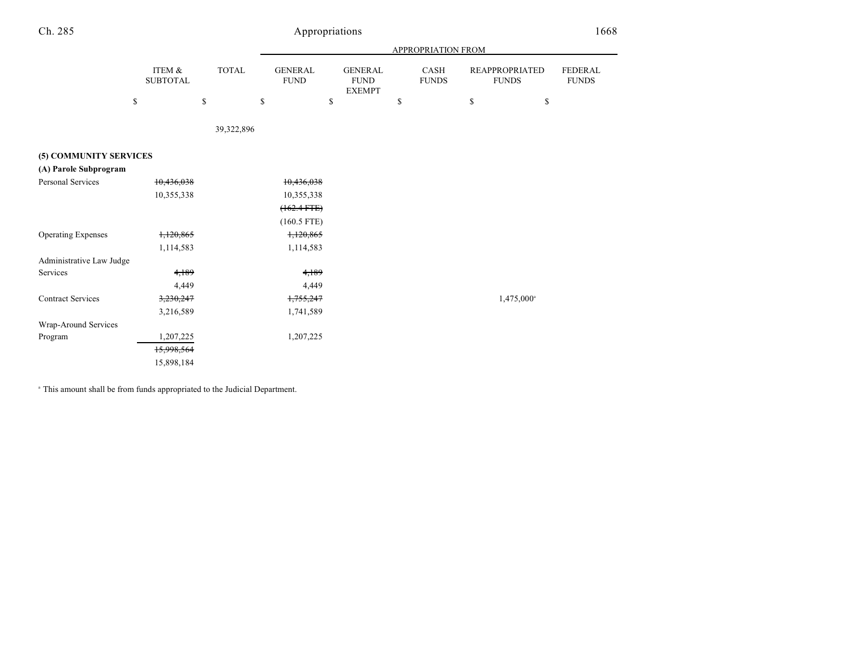| Ch. 285                   |                           | Appropriations |                               |                                                |    |                      |                                       |                                |  |  |  |
|---------------------------|---------------------------|----------------|-------------------------------|------------------------------------------------|----|----------------------|---------------------------------------|--------------------------------|--|--|--|
|                           |                           |                |                               | <b>APPROPRIATION FROM</b>                      |    |                      |                                       |                                |  |  |  |
|                           | ITEM &<br><b>SUBTOTAL</b> | <b>TOTAL</b>   | <b>GENERAL</b><br><b>FUND</b> | <b>GENERAL</b><br><b>FUND</b><br><b>EXEMPT</b> |    | CASH<br><b>FUNDS</b> | <b>REAPPROPRIATED</b><br><b>FUNDS</b> | <b>FEDERAL</b><br><b>FUNDS</b> |  |  |  |
|                           | \$                        | \$             | \$                            | \$                                             | \$ |                      | \$                                    | \$                             |  |  |  |
|                           |                           | 39,322,896     |                               |                                                |    |                      |                                       |                                |  |  |  |
| (5) COMMUNITY SERVICES    |                           |                |                               |                                                |    |                      |                                       |                                |  |  |  |
| (A) Parole Subprogram     |                           |                |                               |                                                |    |                      |                                       |                                |  |  |  |
| Personal Services         | 10,436,038                |                | 10,436,038                    |                                                |    |                      |                                       |                                |  |  |  |
|                           | 10,355,338                |                | 10,355,338                    |                                                |    |                      |                                       |                                |  |  |  |
|                           |                           |                | $(162.4 FTE)$                 |                                                |    |                      |                                       |                                |  |  |  |
|                           |                           |                | $(160.5$ FTE)                 |                                                |    |                      |                                       |                                |  |  |  |
| <b>Operating Expenses</b> | 1,120,865                 |                | 1,120,865                     |                                                |    |                      |                                       |                                |  |  |  |
|                           | 1,114,583                 |                | 1,114,583                     |                                                |    |                      |                                       |                                |  |  |  |
| Administrative Law Judge  |                           |                |                               |                                                |    |                      |                                       |                                |  |  |  |
| Services                  | 4,189                     |                | 4,189                         |                                                |    |                      |                                       |                                |  |  |  |
|                           | 4,449                     |                | 4,449                         |                                                |    |                      |                                       |                                |  |  |  |
| <b>Contract Services</b>  | 3,230,247                 |                | 1,755,247                     |                                                |    |                      | 1,475,000 <sup>a</sup>                |                                |  |  |  |
|                           | 3,216,589                 |                | 1,741,589                     |                                                |    |                      |                                       |                                |  |  |  |
| Wrap-Around Services      |                           |                |                               |                                                |    |                      |                                       |                                |  |  |  |
| Program                   | 1,207,225                 |                | 1,207,225                     |                                                |    |                      |                                       |                                |  |  |  |

<sup>a</sup> This amount shall be from funds appropriated to the Judicial Department.

15,998,564 15,898,184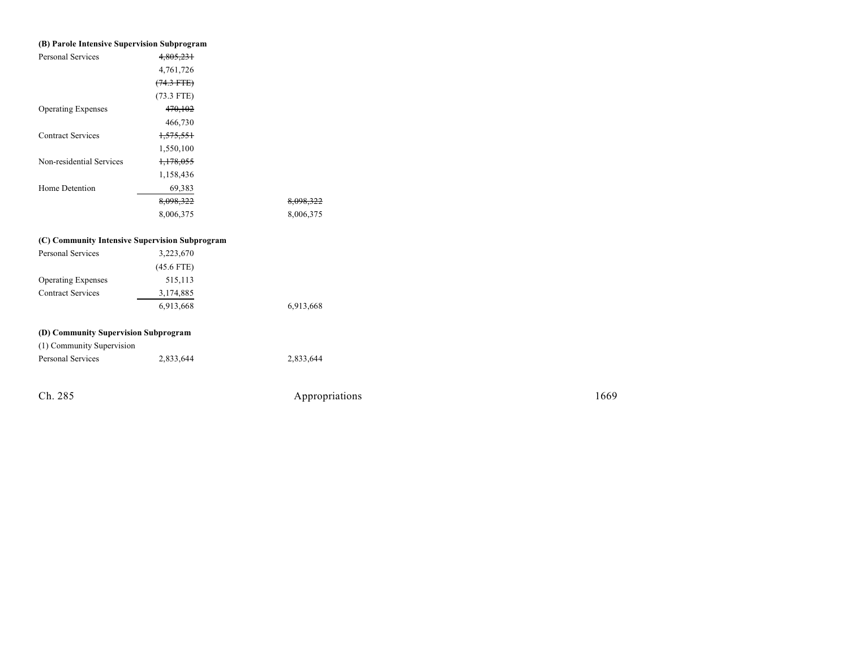| (B) Parole Intensive Supervision Subprogram    |                      |                |
|------------------------------------------------|----------------------|----------------|
| <b>Personal Services</b>                       | 4,805,231            |                |
|                                                | 4,761,726            |                |
|                                                | $(74.3$ FTE)         |                |
|                                                | $(73.3$ FTE)         |                |
| <b>Operating Expenses</b>                      | 470,102              |                |
|                                                | 466,730              |                |
| <b>Contract Services</b>                       | <del>1,575,551</del> |                |
|                                                | 1,550,100            |                |
| Non-residential Services                       | 1,178,055            |                |
|                                                | 1,158,436            |                |
| Home Detention                                 | 69,383               |                |
|                                                | 8,098,322            | 8,098,322      |
|                                                | 8,006,375            | 8,006,375      |
| (C) Community Intensive Supervision Subprogram |                      |                |
| <b>Personal Services</b>                       | 3,223,670            |                |
|                                                | $(45.6$ FTE)         |                |
| <b>Operating Expenses</b>                      | 515,113              |                |
| <b>Contract Services</b>                       | 3,174,885            |                |
|                                                | 6,913,668            | 6,913,668      |
|                                                |                      |                |
| (D) Community Supervision Subprogram           |                      |                |
| (1) Community Supervision                      |                      |                |
| Personal Services                              | 2,833,644            | 2,833,644      |
|                                                |                      |                |
| Ch. 285                                        |                      | Appropriations |

1 6 6 9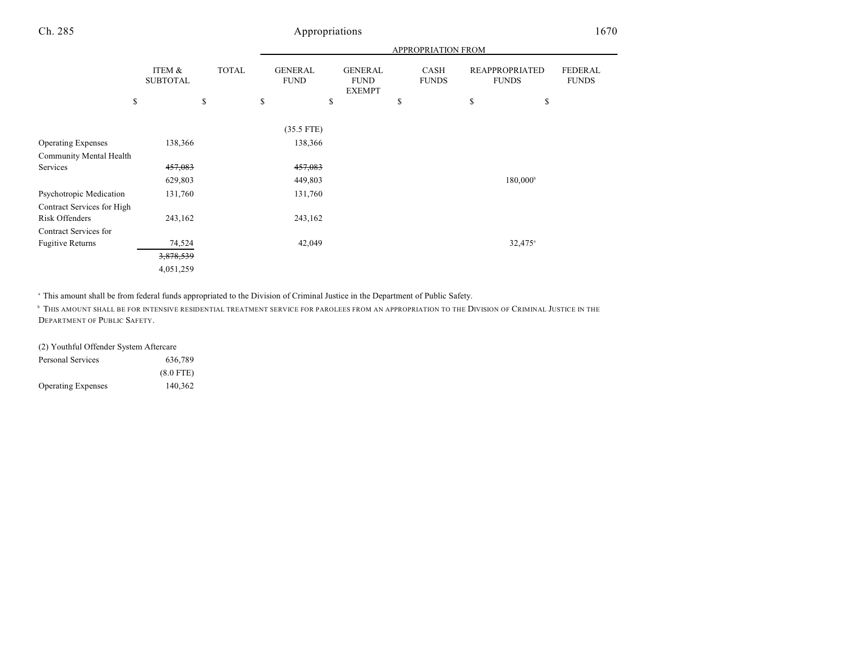|                            |                           |              | APPROPRIATION FROM            |    |                                                |    |                      |    |                                       |                                |
|----------------------------|---------------------------|--------------|-------------------------------|----|------------------------------------------------|----|----------------------|----|---------------------------------------|--------------------------------|
|                            | ITEM &<br><b>SUBTOTAL</b> | <b>TOTAL</b> | <b>GENERAL</b><br><b>FUND</b> |    | <b>GENERAL</b><br><b>FUND</b><br><b>EXEMPT</b> |    | CASH<br><b>FUNDS</b> |    | <b>REAPPROPRIATED</b><br><b>FUNDS</b> | <b>FEDERAL</b><br><b>FUNDS</b> |
|                            | \$                        | \$           | \$                            | \$ |                                                | \$ |                      | \$ | \$                                    |                                |
|                            |                           |              | $(35.5$ FTE)                  |    |                                                |    |                      |    |                                       |                                |
| <b>Operating Expenses</b>  | 138,366                   |              | 138,366                       |    |                                                |    |                      |    |                                       |                                |
| Community Mental Health    |                           |              |                               |    |                                                |    |                      |    |                                       |                                |
| Services                   | 457,083                   |              | 457,083                       |    |                                                |    |                      |    |                                       |                                |
|                            | 629,803                   |              | 449,803                       |    |                                                |    |                      |    | 180,000 <sup>b</sup>                  |                                |
| Psychotropic Medication    | 131,760                   |              | 131,760                       |    |                                                |    |                      |    |                                       |                                |
| Contract Services for High |                           |              |                               |    |                                                |    |                      |    |                                       |                                |
| Risk Offenders             | 243,162                   |              | 243,162                       |    |                                                |    |                      |    |                                       |                                |
| Contract Services for      |                           |              |                               |    |                                                |    |                      |    |                                       |                                |
| <b>Fugitive Returns</b>    | 74,524                    |              | 42,049                        |    |                                                |    |                      |    | $32,475$ <sup>a</sup>                 |                                |
|                            | 3,878,539                 |              |                               |    |                                                |    |                      |    |                                       |                                |
|                            | 4,051,259                 |              |                               |    |                                                |    |                      |    |                                       |                                |

<sup>a</sup> This amount shall be from federal funds appropriated to the Division of Criminal Justice in the Department of Public Safety.

 $^\circ$  This amount shall be for intensive residential treatment service for parolees from an appropriation to the Division of Criminal Justice in the DEPARTMENT OF PUBLIC SAFETY.

# (2) Youthful Offender System Aftercare

| Personal Services         | 636,789     |
|---------------------------|-------------|
|                           | $(8.0$ FTE) |
| <b>Operating Expenses</b> | 140,362     |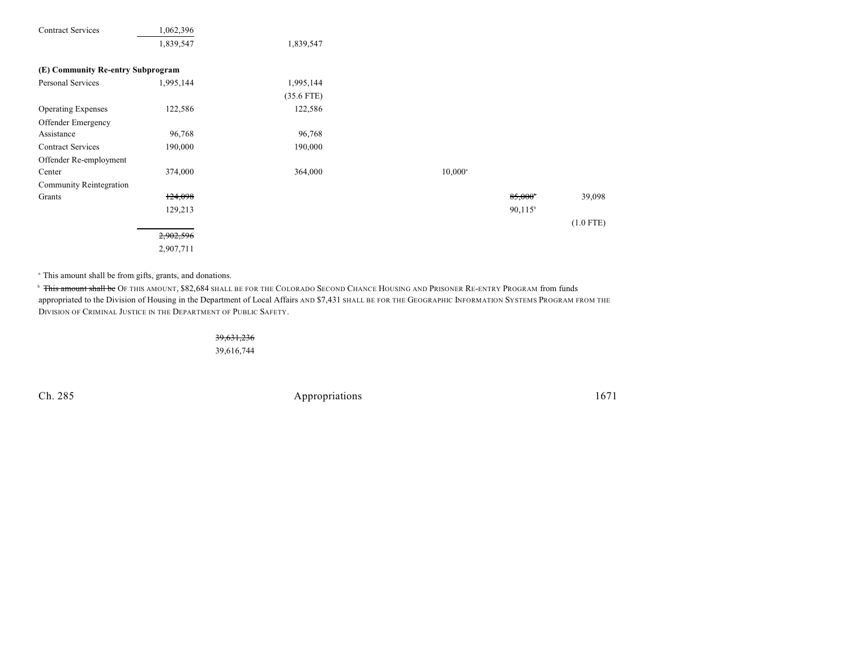| <b>Contract Services</b>          | 1,062,396 |              |                  |                  |             |
|-----------------------------------|-----------|--------------|------------------|------------------|-------------|
|                                   | 1,839,547 | 1,839,547    |                  |                  |             |
| (E) Community Re-entry Subprogram |           |              |                  |                  |             |
| Personal Services                 | 1,995,144 | 1,995,144    |                  |                  |             |
|                                   |           | $(35.6$ FTE) |                  |                  |             |
| <b>Operating Expenses</b>         | 122,586   | 122,586      |                  |                  |             |
| Offender Emergency                |           |              |                  |                  |             |
| Assistance                        | 96,768    | 96,768       |                  |                  |             |
| <b>Contract Services</b>          | 190,000   | 190,000      |                  |                  |             |
| Offender Re-employment            |           |              |                  |                  |             |
| Center                            | 374,000   | 364,000      | $10,000^{\circ}$ |                  |             |
| <b>Community Reintegration</b>    |           |              |                  |                  |             |
| Grants                            | 124,098   |              |                  | $85,000^{\circ}$ | 39,098      |
|                                   | 129,213   |              |                  | $90,115^{\circ}$ |             |
|                                   |           |              |                  |                  | $(1.0$ FTE) |
|                                   | 2,902,596 |              |                  |                  |             |
|                                   | 2,907,711 |              |                  |                  |             |

<sup>a</sup> This amount shall be from gifts, grants, and donations.

<sup>b</sup> <del>This amount shall be</del> Of this amount, \$82,684 shall be for the Colorado Second Chance Housing and Prisoner Re-entry Program from funds appropriated to the Division of Housing in the Department of Local Affairs AND \$7,431 SHALL BE FOR THE GEOGRAPHIC INFORMATION SYSTEMS PROGRAM FROM THE DIVISION OF CRIMINAL JUSTICE IN THE DEPARTMENT OF PUBLIC SAFETY.

> 39,631,236 39,616,744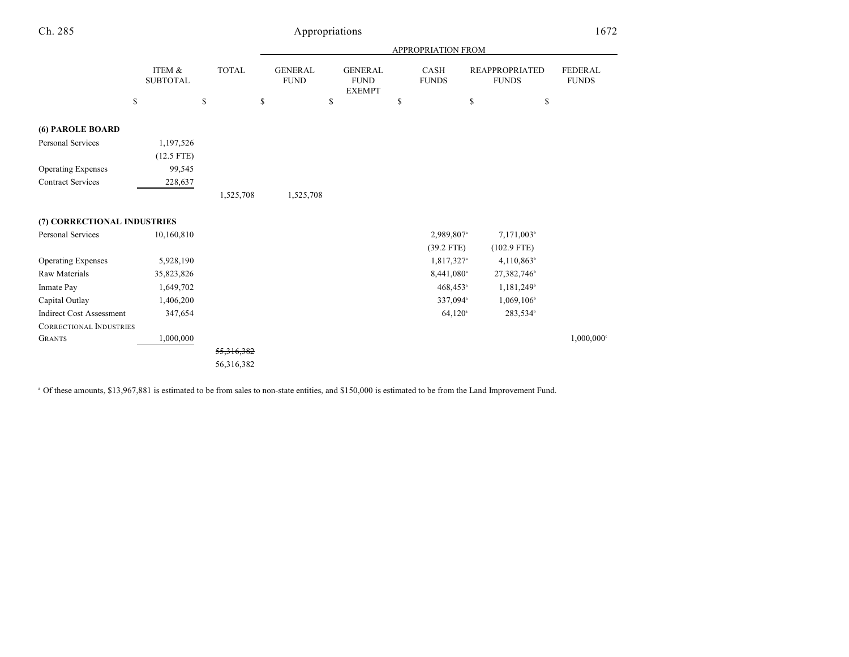|                                 | <b>APPROPRIATION FROM</b> |            |            |                               |    |                                                |    |                             |                                       |                                |
|---------------------------------|---------------------------|------------|------------|-------------------------------|----|------------------------------------------------|----|-----------------------------|---------------------------------------|--------------------------------|
|                                 | ITEM &<br><b>SUBTOTAL</b> | TOTAL      |            | <b>GENERAL</b><br><b>FUND</b> |    | <b>GENERAL</b><br><b>FUND</b><br><b>EXEMPT</b> |    | <b>CASH</b><br><b>FUNDS</b> | <b>REAPPROPRIATED</b><br><b>FUNDS</b> | <b>FEDERAL</b><br><b>FUNDS</b> |
|                                 | ${\mathbb S}$             | \$         | \$         |                               | \$ |                                                | \$ |                             | \$<br>\$                              |                                |
| (6) PAROLE BOARD                |                           |            |            |                               |    |                                                |    |                             |                                       |                                |
| <b>Personal Services</b>        | 1,197,526                 |            |            |                               |    |                                                |    |                             |                                       |                                |
|                                 | $(12.5$ FTE)              |            |            |                               |    |                                                |    |                             |                                       |                                |
| <b>Operating Expenses</b>       | 99,545                    |            |            |                               |    |                                                |    |                             |                                       |                                |
| <b>Contract Services</b>        | 228,637                   |            |            |                               |    |                                                |    |                             |                                       |                                |
|                                 |                           |            | 1,525,708  | 1,525,708                     |    |                                                |    |                             |                                       |                                |
| (7) CORRECTIONAL INDUSTRIES     |                           |            |            |                               |    |                                                |    |                             |                                       |                                |
| <b>Personal Services</b>        | 10,160,810                |            |            |                               |    |                                                |    | 2,989,807 <sup>a</sup>      | 7,171,003 <sup>b</sup>                |                                |
|                                 |                           |            |            |                               |    |                                                |    | $(39.2$ FTE)                | $(102.9$ FTE)                         |                                |
| <b>Operating Expenses</b>       | 5,928,190                 |            |            |                               |    |                                                |    | 1,817,327 <sup>a</sup>      | $4,110,863$ <sup>b</sup>              |                                |
| Raw Materials                   | 35,823,826                |            |            |                               |    |                                                |    | 8,441,080 <sup>a</sup>      | 27,382,746 <sup>b</sup>               |                                |
| Inmate Pay                      | 1,649,702                 |            |            |                               |    |                                                |    | $468,453$ <sup>a</sup>      | 1,181,249                             |                                |
| Capital Outlay                  | 1,406,200                 |            |            |                               |    |                                                |    | 337,094 <sup>a</sup>        | $1,069,106^{\circ}$                   |                                |
| <b>Indirect Cost Assessment</b> | 347,654                   |            |            |                               |    |                                                |    | $64,120^{\circ}$            | 283,534 <sup>b</sup>                  |                                |
| <b>CORRECTIONAL INDUSTRIES</b>  |                           |            |            |                               |    |                                                |    |                             |                                       |                                |
| <b>GRANTS</b>                   | 1,000,000                 |            |            |                               |    |                                                |    |                             |                                       | 1,000,000°                     |
|                                 |                           |            | 55,316,382 |                               |    |                                                |    |                             |                                       |                                |
|                                 |                           | 56,316,382 |            |                               |    |                                                |    |                             |                                       |                                |

<sup>a</sup> Of these amounts, \$13,967,881 is estimated to be from sales to non-state entities, and \$150,000 is estimated to be from the Land Improvement Fund.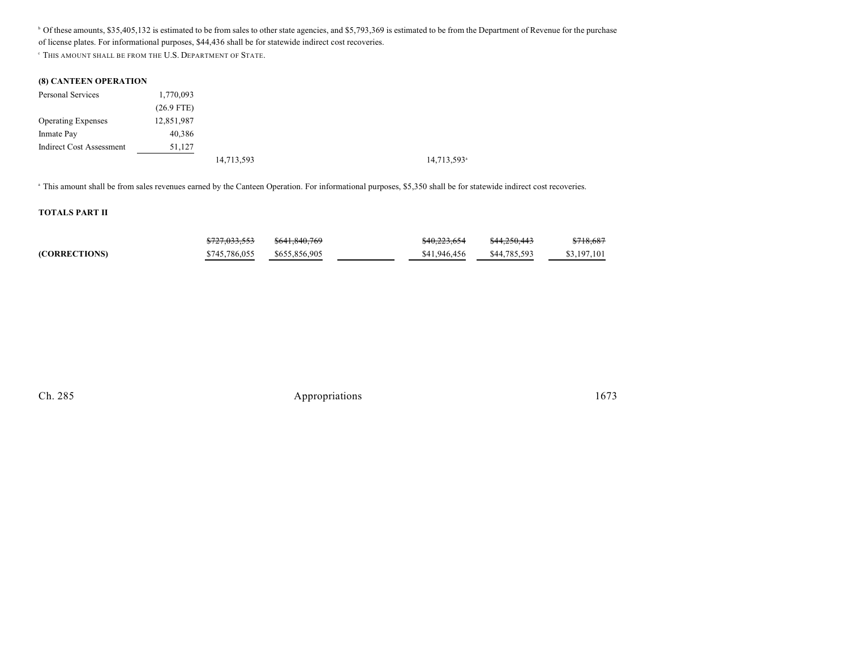<sup>b</sup> Of these amounts, \$35,405,132 is estimated to be from sales to other state agencies, and \$5,793,369 is estimated to be from the Department of Revenue for the purchase of license plates. For informational purposes, \$44,436 shall be for statewide indirect cost recoveries.

C THIS AMOUNT SHALL BE FROM THE U.S. DEPARTMENT OF STATE.

#### **(8) CANTEEN OPERATION**

| Personal Services         | 1,770,093    |  |
|---------------------------|--------------|--|
|                           | $(26.9$ FTE) |  |
| <b>Operating Expenses</b> | 12,851,987   |  |
| Inmate Pay                | 40,386       |  |
| Indirect Cost Assessment  | 51,127       |  |
|                           |              |  |

14,713,593<sup>a</sup> 14,713,593<sup>a</sup>

<sup>a</sup> This amount shall be from sales revenues earned by the Canteen Operation. For informational purposes, \$5,350 shall be for statewide indirect cost recoveries.

#### **TOTALS PART II**

|               | <del>\$727,033,553</del> | \$641,840,769 | \$40,223,654 | \$44,250,443 | \$718,687   |
|---------------|--------------------------|---------------|--------------|--------------|-------------|
| (CORRECTIONS) | \$745,786,055            | \$655,856,905 | \$41,946,456 | \$44,785,593 | \$3,197,101 |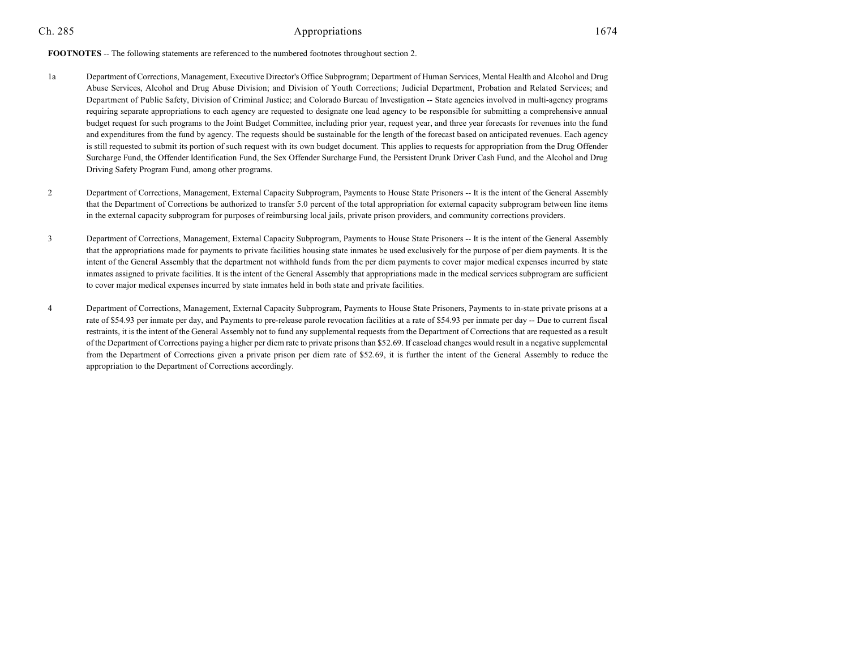#### **FOOTNOTES** -- The following statements are referenced to the numbered footnotes throughout section 2.

- 1a Department of Corrections, Management, Executive Director's Office Subprogram; Department of Human Services, Mental Health and Alcohol and Drug Abuse Services, Alcohol and Drug Abuse Division; and Division of Youth Corrections; Judicial Department, Probation and Related Services; and Department of Public Safety, Division of Criminal Justice; and Colorado Bureau of Investigation -- State agencies involved in multi-agency programs requiring separate appropriations to each agency are requested to designate one lead agency to be responsible for submitting a comprehensive annual budget request for such programs to the Joint Budget Committee, including prior year, request year, and three year forecasts for revenues into the fund and expenditures from the fund by agency. The requests should be sustainable for the length of the forecast based on anticipated revenues. Each agency is still requested to submit its portion of such request with its own budget document. This applies to requests for appropriation from the Drug Offender Surcharge Fund, the Offender Identification Fund, the Sex Offender Surcharge Fund, the Persistent Drunk Driver Cash Fund, and the Alcohol and Drug Driving Safety Program Fund, among other programs.
- 2 Department of Corrections, Management, External Capacity Subprogram, Payments to House State Prisoners -- It is the intent of the General Assembly that the Department of Corrections be authorized to transfer 5.0 percent of the total appropriation for external capacity subprogram between line items in the external capacity subprogram for purposes of reimbursing local jails, private prison providers, and community corrections providers.
- 3 Department of Corrections, Management, External Capacity Subprogram, Payments to House State Prisoners -- It is the intent of the General Assembly that the appropriations made for payments to private facilities housing state inmates be used exclusively for the purpose of per diem payments. It is the intent of the General Assembly that the department not withhold funds from the per diem payments to cover major medical expenses incurred by state inmates assigned to private facilities. It is the intent of the General Assembly that appropriations made in the medical services subprogram are sufficient to cover major medical expenses incurred by state inmates held in both state and private facilities.
- 4 Department of Corrections, Management, External Capacity Subprogram, Payments to House State Prisoners, Payments to in-state private prisons at a rate of \$54.93 per inmate per day, and Payments to pre-release parole revocation facilities at a rate of \$54.93 per inmate per day -- Due to current fiscal restraints, it is the intent of the General Assembly not to fund any supplemental requests from the Department of Corrections that are requested as a result of the Department of Corrections paying a higher per diem rate to private prisons than \$52.69. If caseload changes would result in a negative supplemental from the Department of Corrections given a private prison per diem rate of \$52.69, it is further the intent of the General Assembly to reduce the appropriation to the Department of Corrections accordingly.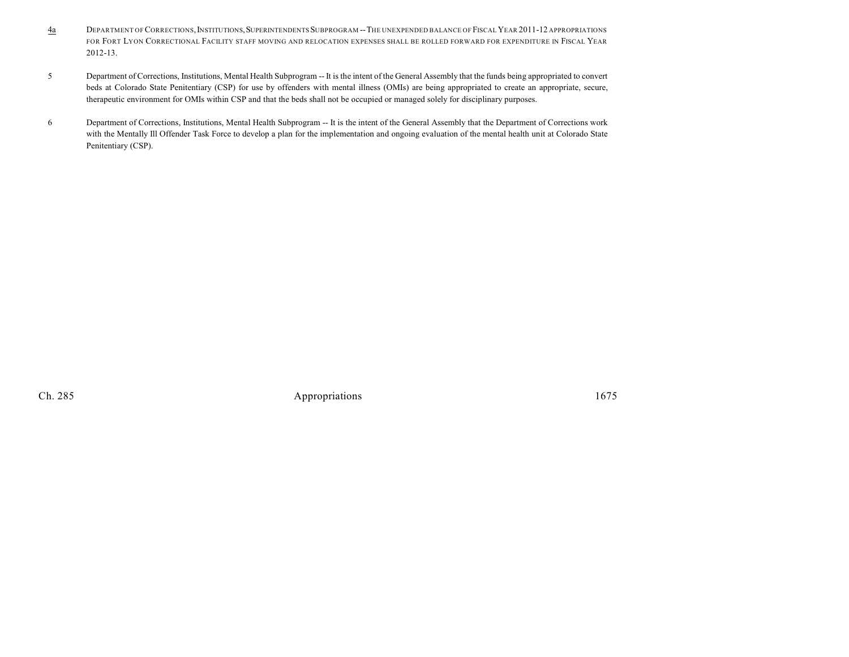- 4a DEPARTMENT OFCORRECTIONS,INSTITUTIONS,SUPERINTENDENTS SUBPROGRAM --THE UNEXPENDED BALANCE OF FISCALYEAR 2011-12 APPROPRIATIONS FOR FORT LYON CORRECTIONAL FACILITY STAFF MOVING AND RELOCATION EXPENSES SHALL BE ROLLED FORWARD FOR EXPENDITURE IN FISCAL YEAR 2012-13.
- 5 Department of Corrections, Institutions, Mental Health Subprogram -- It is the intent of the General Assembly that the funds being appropriated to convert beds at Colorado State Penitentiary (CSP) for use by offenders with mental illness (OMIs) are being appropriated to create an appropriate, secure, therapeutic environment for OMIs within CSP and that the beds shall not be occupied or managed solely for disciplinary purposes.
- 6 Department of Corrections, Institutions, Mental Health Subprogram -- It is the intent of the General Assembly that the Department of Corrections work with the Mentally Ill Offender Task Force to develop a plan for the implementation and ongoing evaluation of the mental health unit at Colorado State Penitentiary (CSP).